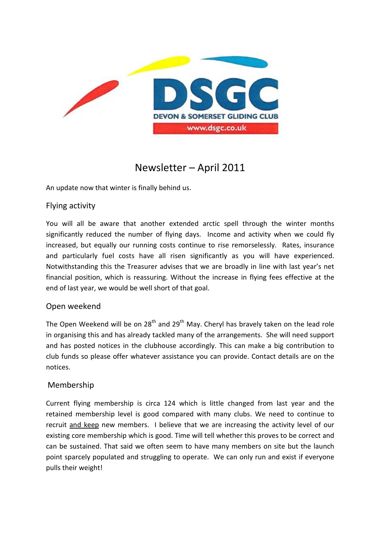

# Newsletter – April 2011

An update now that winter is finally behind us.

#### Flying activity

You will all be aware that another extended arctic spell through the winter months significantly reduced the number of flying days. Income and activity when we could fly increased, but equally our running costs continue to rise remorselessly. Rates, insurance and particularly fuel costs have all risen significantly as you will have experienced. Notwithstanding this the Treasurer advises that we are broadly in line with last year's net financial position, which is reassuring. Without the increase in flying fees effective at the end of last year, we would be well short of that goal.

#### Open weekend

The Open Weekend will be on  $28<sup>th</sup>$  and  $29<sup>th</sup>$  May. Cheryl has bravely taken on the lead role in organising this and has already tackled many of the arrangements. She will need support and has posted notices in the clubhouse accordingly. This can make a big contribution to club funds so please offer whatever assistance you can provide. Contact details are on the notices.

#### Membership

Current flying membership is circa 124 which is little changed from last year and the retained membership level is good compared with many clubs. We need to continue to recruit and keep new members. I believe that we are increasing the activity level of our existing core membership which is good. Time will tell whether this proves to be correct and can be sustained. That said we often seem to have many members on site but the launch point sparcely populated and struggling to operate. We can only run and exist if everyone pulls their weight!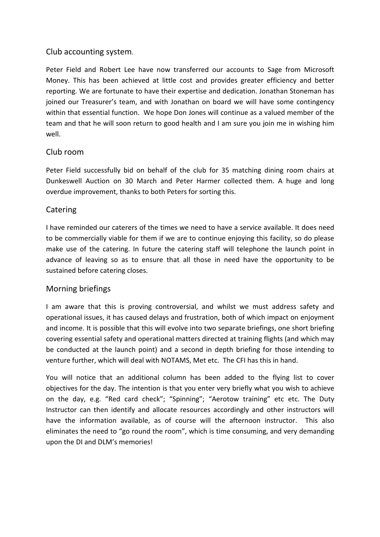#### Club accounting system.

Peter Field and Robert Lee have now transferred our accounts to Sage from Microsoft Money. This has been achieved at little cost and provides greater efficiency and better reporting. We are fortunate to have their expertise and dedication. Jonathan Stoneman has joined our Treasurer's team, and with Jonathan on board we will have some contingency within that essential function. We hope Don Jones will continue as a valued member of the team and that he will soon return to good health and I am sure you join me in wishing him well.

## Club room

Peter Field successfully bid on behalf of the club for 35 matching dining room chairs at Dunkeswell Auction on 30 March and Peter Harmer collected them. A huge and long overdue improvement, thanks to both Peters for sorting this.

## **Catering**

I have reminded our caterers of the times we need to have a service available. It does need to be commercially viable for them if we are to continue enjoying this facility, so do please make use of the catering. In future the catering staff will telephone the launch point in advance of leaving so as to ensure that all those in need have the opportunity to be sustained before catering closes.

#### Morning briefings

I am aware that this is proving controversial, and whilst we must address safety and operational issues, it has caused delays and frustration, both of which impact on enjoyment and income. It is possible that this will evolve into two separate briefings, one short briefing covering essential safety and operational matters directed at training flights (and which may be conducted at the launch point) and a second in depth briefing for those intending to venture further, which will deal with NOTAMS, Met etc. The CFI has this in hand.

You will notice that an additional column has been added to the flying list to cover objectives for the day. The intention is that you enter very briefly what you wish to achieve on the day, e.g. "Red card check"; "Spinning"; "Aerotow training" etc etc. The Duty Instructor can then identify and allocate resources accordingly and other instructors will have the information available, as of course will the afternoon instructor. This also eliminates the need to "go round the room", which is time consuming, and very demanding upon the DI and DLM's memories!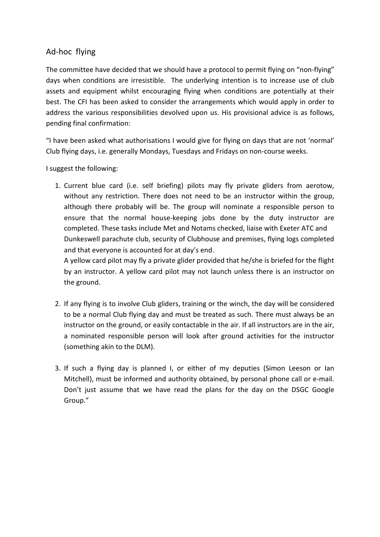## Ad-hoc flying

The committee have decided that we should have a protocol to permit flying on "non-flying" days when conditions are irresistible. The underlying intention is to increase use of club assets and equipment whilst encouraging flying when conditions are potentially at their best. The CFI has been asked to consider the arrangements which would apply in order to address the various responsibilities devolved upon us. His provisional advice is as follows, pending final confirmation:

"I have been asked what authorisations I would give for flying on days that are not 'normal' Club flying days, i.e. generally Mondays, Tuesdays and Fridays on non-course weeks.

I suggest the following:

1. Current blue card (i.e. self briefing) pilots may fly private gliders from aerotow, without any restriction. There does not need to be an instructor within the group, although there probably will be. The group will nominate a responsible person to ensure that the normal house-keeping jobs done by the duty instructor are completed. These tasks include Met and Notams checked, liaise with Exeter ATC and Dunkeswell parachute club, security of Clubhouse and premises, flying logs completed and that everyone is accounted for at day's end.

A yellow card pilot may fly a private glider provided that he/she is briefed for the flight by an instructor. A yellow card pilot may not launch unless there is an instructor on the ground.

- 2. If any flying is to involve Club gliders, training or the winch, the day will be considered to be a normal Club flying day and must be treated as such. There must always be an instructor on the ground, or easily contactable in the air. If all instructors are in the air, a nominated responsible person will look after ground activities for the instructor (something akin to the DLM).
- 3. If such a flying day is planned I, or either of my deputies (Simon Leeson or Ian Mitchell), must be informed and authority obtained, by personal phone call or e-mail. Don't just assume that we have read the plans for the day on the DSGC Google Group."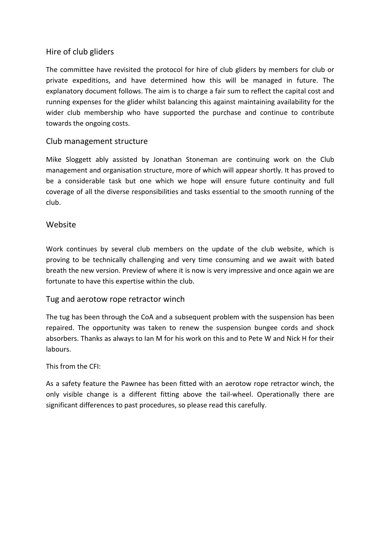### Hire of club gliders

The committee have revisited the protocol for hire of club gliders by members for club or private expeditions, and have determined how this will be managed in future. The explanatory document follows. The aim is to charge a fair sum to reflect the capital cost and running expenses for the glider whilst balancing this against maintaining availability for the wider club membership who have supported the purchase and continue to contribute towards the ongoing costs.

#### Club management structure

Mike Sloggett ably assisted by Jonathan Stoneman are continuing work on the Club management and organisation structure, more of which will appear shortly. It has proved to be a considerable task but one which we hope will ensure future continuity and full coverage of all the diverse responsibilities and tasks essential to the smooth running of the club.

#### Website

Work continues by several club members on the update of the club website, which is proving to be technically challenging and very time consuming and we await with bated breath the new version. Preview of where it is now is very impressive and once again we are fortunate to have this expertise within the club.

#### Tug and aerotow rope retractor winch

The tug has been through the CoA and a subsequent problem with the suspension has been repaired. The opportunity was taken to renew the suspension bungee cords and shock absorbers. Thanks as always to Ian M for his work on this and to Pete W and Nick H for their labours.

#### This from the CFI:

As a safety feature the Pawnee has been fitted with an aerotow rope retractor winch, the only visible change is a different fitting above the tail-wheel. Operationally there are significant differences to past procedures, so please read this carefully.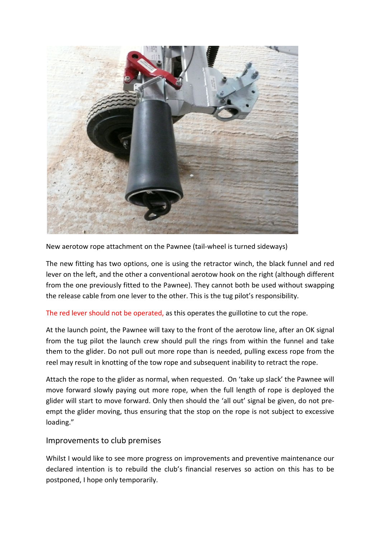

New aerotow rope attachment on the Pawnee (tail-wheel is turned sideways)

The new fitting has two options, one is using the retractor winch, the black funnel and red lever on the left, and the other a conventional aerotow hook on the right (although different from the one previously fitted to the Pawnee). They cannot both be used without swapping the release cable from one lever to the other. This is the tug pilot's responsibility.

#### The red lever should not be operated, as this operates the guillotine to cut the rope.

At the launch point, the Pawnee will taxy to the front of the aerotow line, after an OK signal from the tug pilot the launch crew should pull the rings from within the funnel and take them to the glider. Do not pull out more rope than is needed, pulling excess rope from the reel may result in knotting of the tow rope and subsequent inability to retract the rope.

Attach the rope to the glider as normal, when requested. On 'take up slack' the Pawnee will move forward slowly paying out more rope, when the full length of rope is deployed the glider will start to move forward. Only then should the 'all out' signal be given, do not preempt the glider moving, thus ensuring that the stop on the rope is not subject to excessive loading."

#### Improvements to club premises

Whilst I would like to see more progress on improvements and preventive maintenance our declared intention is to rebuild the club's financial reserves so action on this has to be postponed, I hope only temporarily.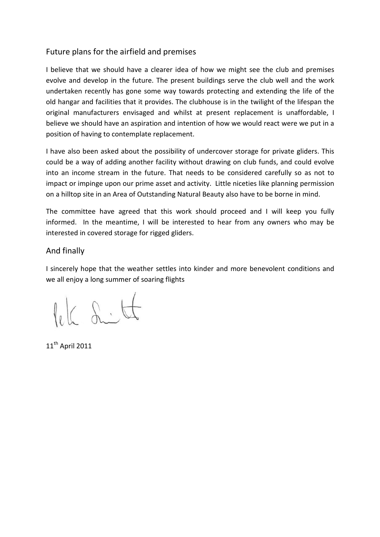## Future plans for the airfield and premises

I believe that we should have a clearer idea of how we might see the club and premises evolve and develop in the future. The present buildings serve the club well and the work undertaken recently has gone some way towards protecting and extending the life of the old hangar and facilities that it provides. The clubhouse is in the twilight of the lifespan the original manufacturers envisaged and whilst at present replacement is unaffordable, I believe we should have an aspiration and intention of how we would react were we put in a position of having to contemplate replacement.

I have also been asked about the possibility of undercover storage for private gliders. This could be a way of adding another facility without drawing on club funds, and could evolve into an income stream in the future. That needs to be considered carefully so as not to impact or impinge upon our prime asset and activity. Little niceties like planning permission on a hilltop site in an Area of Outstanding Natural Beauty also have to be borne in mind.

The committee have agreed that this work should proceed and I will keep you fully informed. In the meantime, I will be interested to hear from any owners who may be interested in covered storage for rigged gliders.

#### And finally

I sincerely hope that the weather settles into kinder and more benevolent conditions and we all enjoy a long summer of soaring flights

lek Litt

 $11<sup>th</sup>$  April 2011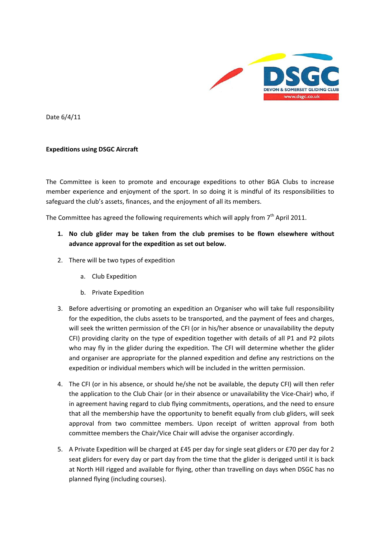

Date 6/4/11

#### Expeditions using DSGC Aircraft

The Committee is keen to promote and encourage expeditions to other BGA Clubs to increase member experience and enjoyment of the sport. In so doing it is mindful of its responsibilities to safeguard the club's assets, finances, and the enjoyment of all its members.

The Committee has agreed the following requirements which will apply from  $7<sup>th</sup>$  April 2011.

- 1. No club glider may be taken from the club premises to be flown elsewhere without advance approval for the expedition as set out below.
- 2. There will be two types of expedition
	- a. Club Expedition
	- b. Private Expedition
- 3. Before advertising or promoting an expedition an Organiser who will take full responsibility for the expedition, the clubs assets to be transported, and the payment of fees and charges, will seek the written permission of the CFI (or in his/her absence or unavailability the deputy CFI) providing clarity on the type of expedition together with details of all P1 and P2 pilots who may fly in the glider during the expedition. The CFI will determine whether the glider and organiser are appropriate for the planned expedition and define any restrictions on the expedition or individual members which will be included in the written permission.
- 4. The CFI (or in his absence, or should he/she not be available, the deputy CFI) will then refer the application to the Club Chair (or in their absence or unavailability the Vice-Chair) who, if in agreement having regard to club flying commitments, operations, and the need to ensure that all the membership have the opportunity to benefit equally from club gliders, will seek approval from two committee members. Upon receipt of written approval from both committee members the Chair/Vice Chair will advise the organiser accordingly.
- 5. A Private Expedition will be charged at £45 per day for single seat gliders or £70 per day for 2 seat gliders for every day or part day from the time that the glider is derigged until it is back at North Hill rigged and available for flying, other than travelling on days when DSGC has no planned flying (including courses).